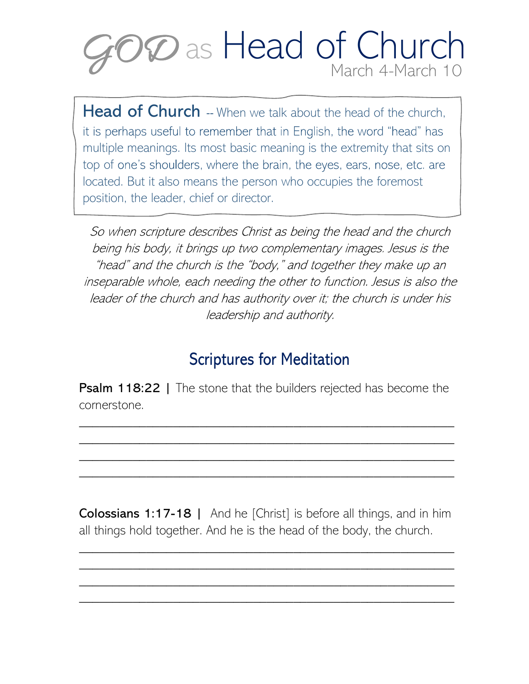

**Head of Church** -- When we talk about the head of the church, it is perhaps useful to remember that in English, the word "head" has multiple meanings. Its most basic meaning is the extremity that sits on top of one's shoulders, where the brain, the eyes, ears, nose, etc. are located. But it also means the person who occupies the foremost position, the leader, chief or director.

So when scripture describes Christ as being the head and the church being his body, it brings up two complementary images. Jesus is the "head" and the church is the "body," and together they make up an inseparable whole, each needing the other to function. Jesus is also the leader of the church and has authority over it; the church is under his leadership and authority.

## Scriptures for Meditation

**Psalm 118:22** | The stone that the builders rejected has become the cornerstone.

\_\_\_\_\_\_\_\_\_\_\_\_\_\_\_\_\_\_\_\_\_\_\_\_\_\_\_\_\_\_\_\_\_\_\_\_\_\_\_\_\_\_\_\_\_\_\_\_\_\_\_\_\_\_\_\_ \_\_\_\_\_\_\_\_\_\_\_\_\_\_\_\_\_\_\_\_\_\_\_\_\_\_\_\_\_\_\_\_\_\_\_\_\_\_\_\_\_\_\_\_\_\_\_\_\_\_\_\_\_\_\_\_ \_\_\_\_\_\_\_\_\_\_\_\_\_\_\_\_\_\_\_\_\_\_\_\_\_\_\_\_\_\_\_\_\_\_\_\_\_\_\_\_\_\_\_\_\_\_\_\_\_\_\_\_\_\_\_\_ \_\_\_\_\_\_\_\_\_\_\_\_\_\_\_\_\_\_\_\_\_\_\_\_\_\_\_\_\_\_\_\_\_\_\_\_\_\_\_\_\_\_\_\_\_\_\_\_\_\_\_\_\_\_\_\_

Colossians 1:17-18 | And he [Christ] is before all things, and in him all things hold together. And he is the head of the body, the church.

\_\_\_\_\_\_\_\_\_\_\_\_\_\_\_\_\_\_\_\_\_\_\_\_\_\_\_\_\_\_\_\_\_\_\_\_\_\_\_\_\_\_\_\_\_\_\_\_\_\_\_\_\_\_\_\_ \_\_\_\_\_\_\_\_\_\_\_\_\_\_\_\_\_\_\_\_\_\_\_\_\_\_\_\_\_\_\_\_\_\_\_\_\_\_\_\_\_\_\_\_\_\_\_\_\_\_\_\_\_\_\_\_ \_\_\_\_\_\_\_\_\_\_\_\_\_\_\_\_\_\_\_\_\_\_\_\_\_\_\_\_\_\_\_\_\_\_\_\_\_\_\_\_\_\_\_\_\_\_\_\_\_\_\_\_\_\_\_\_ \_\_\_\_\_\_\_\_\_\_\_\_\_\_\_\_\_\_\_\_\_\_\_\_\_\_\_\_\_\_\_\_\_\_\_\_\_\_\_\_\_\_\_\_\_\_\_\_\_\_\_\_\_\_\_\_